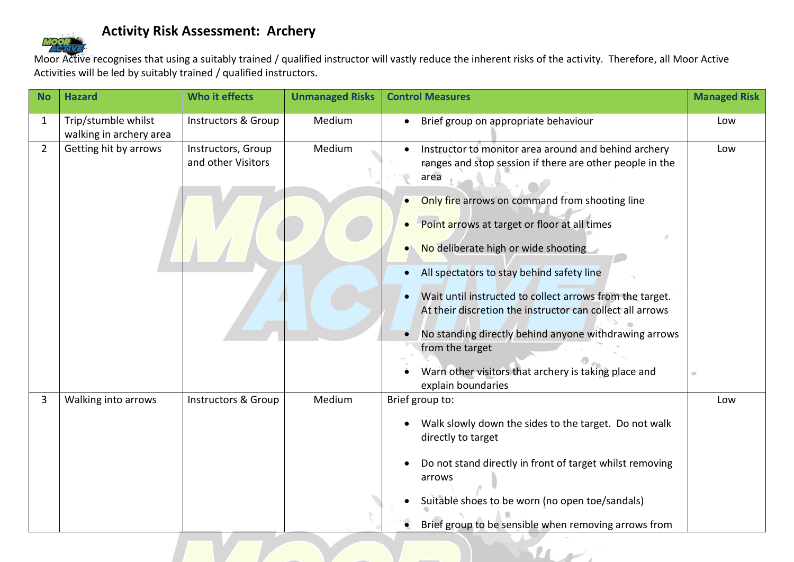## **Activity Risk Assessment: Archery**

Moor Active recognises that using a suitably trained / qualified instructor will vastly reduce the inherent risks of the activity. Therefore, all Moor Active Activities will be led by suitably trained / qualified instructors.

| <b>No</b>      | <b>Hazard</b>                                  | Who it effects                           | <b>Unmanaged Risks</b> | <b>Control Measures</b>                                                                                                                                                                                                                                                                                                                                                                                                                                                                                                                                                                           | <b>Managed Risk</b> |
|----------------|------------------------------------------------|------------------------------------------|------------------------|---------------------------------------------------------------------------------------------------------------------------------------------------------------------------------------------------------------------------------------------------------------------------------------------------------------------------------------------------------------------------------------------------------------------------------------------------------------------------------------------------------------------------------------------------------------------------------------------------|---------------------|
| $\mathbf{1}$   | Trip/stumble whilst<br>walking in archery area | Instructors & Group                      | Medium                 | Brief group on appropriate behaviour                                                                                                                                                                                                                                                                                                                                                                                                                                                                                                                                                              | Low                 |
| $\overline{2}$ | Getting hit by arrows                          | Instructors, Group<br>and other Visitors | Medium                 | Instructor to monitor area around and behind archery<br>ranges and stop session if there are other people in the<br>area<br>Only fire arrows on command from shooting line<br>Point arrows at target or floor at all times<br>No deliberate high or wide shooting<br>All spectators to stay behind safety line<br>Wait until instructed to collect arrows from the target.<br>At their discretion the instructor can collect all arrows<br>No standing directly behind anyone withdrawing arrows<br>from the target<br>Warn other visitors that archery is taking place and<br>explain boundaries | Low                 |
| 3              | Walking into arrows                            | <b>Instructors &amp; Group</b>           | Medium                 | Brief group to:<br>Walk slowly down the sides to the target. Do not walk<br>directly to target<br>Do not stand directly in front of target whilst removing<br>arrows<br>Suitable shoes to be worn (no open toe/sandals)<br>Brief group to be sensible when removing arrows from                                                                                                                                                                                                                                                                                                                   | Low                 |

 $\mathbf{u}$